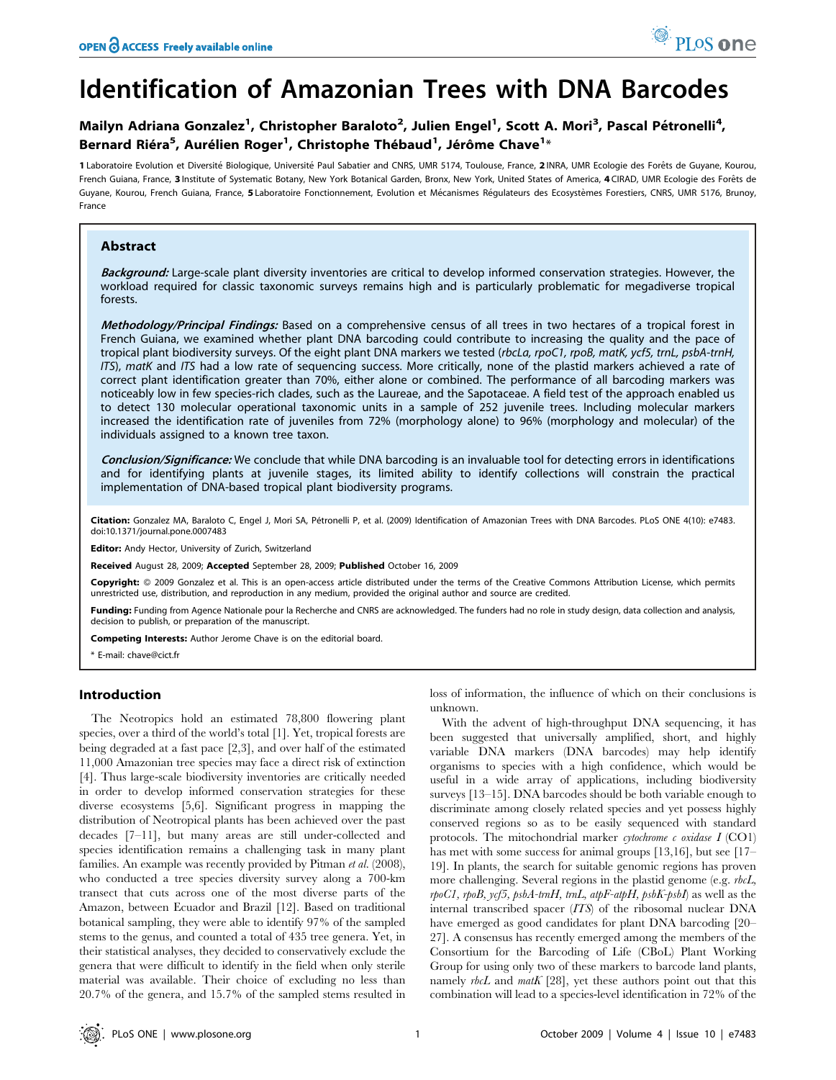# Identification of Amazonian Trees with DNA Barcodes

# Mailyn Adriana Gonzalez<sup>1</sup>, Christopher Baraloto<sup>2</sup>, Julien Engel<sup>1</sup>, Scott A. Mori<sup>3</sup>, Pascal Pétronelli<sup>4</sup>, Bernard Riéra<sup>5</sup>, Aurélien Roger<sup>1</sup>, Christophe Thébaud<sup>1</sup>, Jérôme Chave<sup>1</sup>\*

1 Laboratoire Evolution et Diversité Biologique, Université Paul Sabatier and CNRS, UMR 5174, Toulouse, France, 2 INRA, UMR Ecologie des Forêts de Guyane, Kourou, French Guiana, France, 3 Institute of Systematic Botany, New York Botanical Garden, Bronx, New York, United States of America, 4 CIRAD, UMR Ecologie des Forêts de Guyane, Kourou, French Guiana, France, 5 Laboratoire Fonctionnement, Evolution et Mécanismes Régulateurs des Ecosystèmes Forestiers, CNRS, UMR 5176, Brunoy, France

# Abstract

Background: Large-scale plant diversity inventories are critical to develop informed conservation strategies. However, the workload required for classic taxonomic surveys remains high and is particularly problematic for megadiverse tropical forests.

Methodology/Principal Findings: Based on a comprehensive census of all trees in two hectares of a tropical forest in French Guiana, we examined whether plant DNA barcoding could contribute to increasing the quality and the pace of tropical plant biodiversity surveys. Of the eight plant DNA markers we tested (rbcLa, rpoC1, rpoB, matK, ycf5, trnL, psbA-trnH, ITS), matK and ITS had a low rate of sequencing success. More critically, none of the plastid markers achieved a rate of correct plant identification greater than 70%, either alone or combined. The performance of all barcoding markers was noticeably low in few species-rich clades, such as the Laureae, and the Sapotaceae. A field test of the approach enabled us to detect 130 molecular operational taxonomic units in a sample of 252 juvenile trees. Including molecular markers increased the identification rate of juveniles from 72% (morphology alone) to 96% (morphology and molecular) of the individuals assigned to a known tree taxon.

Conclusion/Significance: We conclude that while DNA barcoding is an invaluable tool for detecting errors in identifications and for identifying plants at juvenile stages, its limited ability to identify collections will constrain the practical implementation of DNA-based tropical plant biodiversity programs.

Citation: Gonzalez MA, Baraloto C, Engel J, Mori SA, Pétronelli P, et al. (2009) Identification of Amazonian Trees with DNA Barcodes. PLoS ONE 4(10): e7483. doi:10.1371/journal.pone.0007483

Editor: Andy Hector, University of Zurich, Switzerland

Received August 28, 2009; Accepted September 28, 2009; Published October 16, 2009

Copyright: @ 2009 Gonzalez et al. This is an open-access article distributed under the terms of the Creative Commons Attribution License, which permits unrestricted use, distribution, and reproduction in any medium, provided the original author and source are credited.

Funding: Funding from Agence Nationale pour la Recherche and CNRS are acknowledged. The funders had no role in study design, data collection and analysis, decision to publish, or preparation of the manuscript.

Competing Interests: Author Jerome Chave is on the editorial board.

# Introduction

The Neotropics hold an estimated 78,800 flowering plant species, over a third of the world's total [1]. Yet, tropical forests are being degraded at a fast pace [2,3], and over half of the estimated 11,000 Amazonian tree species may face a direct risk of extinction [4]. Thus large-scale biodiversity inventories are critically needed in order to develop informed conservation strategies for these diverse ecosystems [5,6]. Significant progress in mapping the distribution of Neotropical plants has been achieved over the past decades [7–11], but many areas are still under-collected and species identification remains a challenging task in many plant families. An example was recently provided by Pitman et al. (2008), who conducted a tree species diversity survey along a 700-km transect that cuts across one of the most diverse parts of the Amazon, between Ecuador and Brazil [12]. Based on traditional botanical sampling, they were able to identify 97% of the sampled stems to the genus, and counted a total of 435 tree genera. Yet, in their statistical analyses, they decided to conservatively exclude the genera that were difficult to identify in the field when only sterile material was available. Their choice of excluding no less than 20.7% of the genera, and 15.7% of the sampled stems resulted in loss of information, the influence of which on their conclusions is unknown.

With the advent of high-throughput DNA sequencing, it has been suggested that universally amplified, short, and highly variable DNA markers (DNA barcodes) may help identify organisms to species with a high confidence, which would be useful in a wide array of applications, including biodiversity surveys [13–15]. DNA barcodes should be both variable enough to discriminate among closely related species and yet possess highly conserved regions so as to be easily sequenced with standard protocols. The mitochondrial marker cytochrome c oxidase  $I(\mathrm{CO1})$ has met with some success for animal groups [13,16], but see [17– 19]. In plants, the search for suitable genomic regions has proven more challenging. Several regions in the plastid genome (e.g. *rbcL*,  $rpoCl$ ,  $rpoB$ ,  $ycf5$ ,  $psbA-trnH$ ,  $trnL$ ,  $atpF-atpH$ ,  $psbK-psbI$ ) as well as the internal transcribed spacer (ITS) of the ribosomal nuclear DNA have emerged as good candidates for plant DNA barcoding [20– 27]. A consensus has recently emerged among the members of the Consortium for the Barcoding of Life (CBoL) Plant Working Group for using only two of these markers to barcode land plants, namely  $rbcL$  and  $matK$  [28], yet these authors point out that this combination will lead to a species-level identification in 72% of the

<sup>\*</sup> E-mail: chave@cict.fr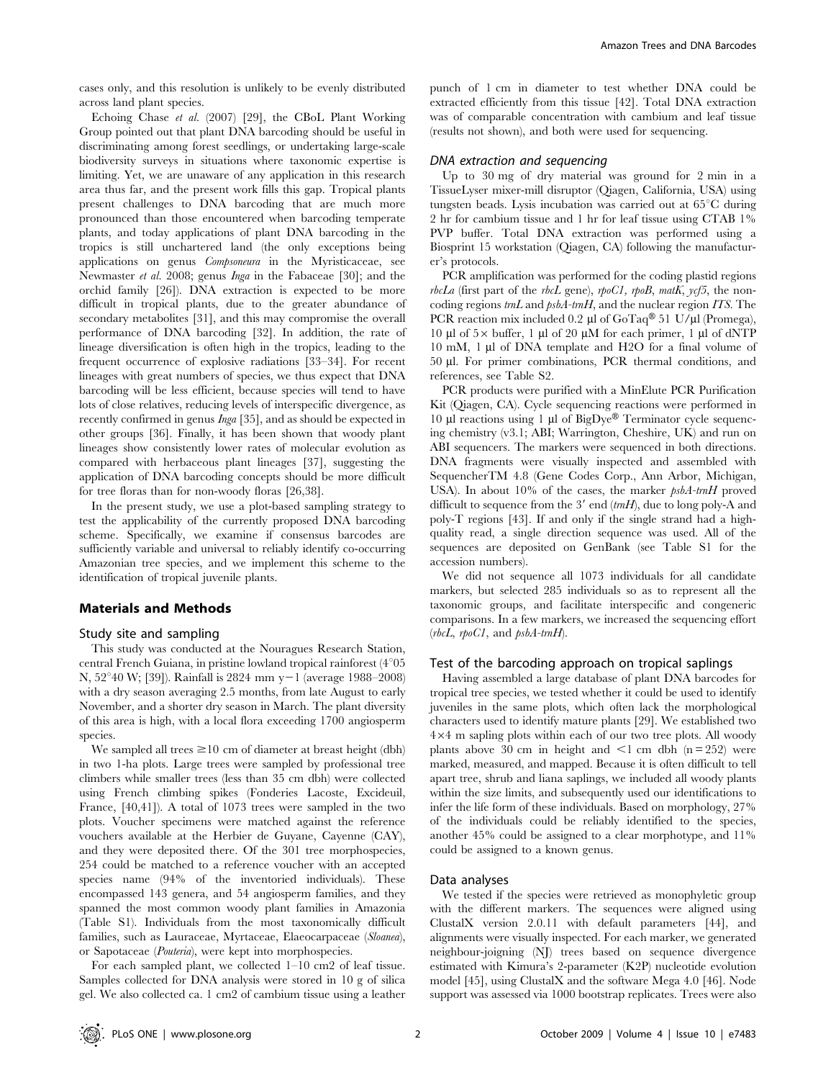cases only, and this resolution is unlikely to be evenly distributed across land plant species.

Echoing Chase et al. (2007) [29], the CBoL Plant Working Group pointed out that plant DNA barcoding should be useful in discriminating among forest seedlings, or undertaking large-scale biodiversity surveys in situations where taxonomic expertise is limiting. Yet, we are unaware of any application in this research area thus far, and the present work fills this gap. Tropical plants present challenges to DNA barcoding that are much more pronounced than those encountered when barcoding temperate plants, and today applications of plant DNA barcoding in the tropics is still unchartered land (the only exceptions being applications on genus Compsoneura in the Myristicaceae, see Newmaster et al. 2008; genus Inga in the Fabaceae [30]; and the orchid family [26]). DNA extraction is expected to be more difficult in tropical plants, due to the greater abundance of secondary metabolites [31], and this may compromise the overall performance of DNA barcoding [32]. In addition, the rate of lineage diversification is often high in the tropics, leading to the frequent occurrence of explosive radiations [33–34]. For recent lineages with great numbers of species, we thus expect that DNA barcoding will be less efficient, because species will tend to have lots of close relatives, reducing levels of interspecific divergence, as recently confirmed in genus Inga [35], and as should be expected in other groups [36]. Finally, it has been shown that woody plant lineages show consistently lower rates of molecular evolution as compared with herbaceous plant lineages [37], suggesting the application of DNA barcoding concepts should be more difficult for tree floras than for non-woody floras [26,38].

In the present study, we use a plot-based sampling strategy to test the applicability of the currently proposed DNA barcoding scheme. Specifically, we examine if consensus barcodes are sufficiently variable and universal to reliably identify co-occurring Amazonian tree species, and we implement this scheme to the identification of tropical juvenile plants.

#### Materials and Methods

#### Study site and sampling

This study was conducted at the Nouragues Research Station, central French Guiana, in pristine lowland tropical rainforest  $(4°05$ N,  $52^{\circ}40$  W; [39]). Rainfall is 2824 mm y-1 (average 1988–2008) with a dry season averaging 2.5 months, from late August to early November, and a shorter dry season in March. The plant diversity of this area is high, with a local flora exceeding 1700 angiosperm species.

We sampled all trees  $\geq 10$  cm of diameter at breast height (dbh) in two 1-ha plots. Large trees were sampled by professional tree climbers while smaller trees (less than 35 cm dbh) were collected using French climbing spikes (Fonderies Lacoste, Excideuil, France, [40,41]). A total of 1073 trees were sampled in the two plots. Voucher specimens were matched against the reference vouchers available at the Herbier de Guyane, Cayenne (CAY), and they were deposited there. Of the 301 tree morphospecies, 254 could be matched to a reference voucher with an accepted species name (94% of the inventoried individuals). These encompassed 143 genera, and 54 angiosperm families, and they spanned the most common woody plant families in Amazonia (Table S1). Individuals from the most taxonomically difficult families, such as Lauraceae, Myrtaceae, Elaeocarpaceae (Sloanea), or Sapotaceae (Pouteria), were kept into morphospecies.

For each sampled plant, we collected 1–10 cm2 of leaf tissue. Samples collected for DNA analysis were stored in 10 g of silica gel. We also collected ca. 1 cm2 of cambium tissue using a leather punch of 1 cm in diameter to test whether DNA could be extracted efficiently from this tissue [42]. Total DNA extraction was of comparable concentration with cambium and leaf tissue (results not shown), and both were used for sequencing.

### DNA extraction and sequencing

Up to 30 mg of dry material was ground for 2 min in a TissueLyser mixer-mill disruptor (Qiagen, California, USA) using tungsten beads. Lysis incubation was carried out at  $65^{\circ}$ C during 2 hr for cambium tissue and 1 hr for leaf tissue using CTAB 1% PVP buffer. Total DNA extraction was performed using a Biosprint 15 workstation (Qiagen, CA) following the manufacturer's protocols.

PCR amplification was performed for the coding plastid regions  $rbcLa$  (first part of the rbcL gene), rpoCl, rpoB, matK, ycf5, the noncoding regions  $tmL$  and  $psbA-trnH$ , and the nuclear region ITS. The PCR reaction mix included 0.2  $\mu$ l of GoTaq® 51 U/ $\mu$ l (Promega), 10  $\mu$ l of 5 $\times$  buffer, 1  $\mu$ l of 20  $\mu$ M for each primer, 1  $\mu$ l of dNTP 10 mM, 1 µl of DNA template and H2O for a final volume of 50 ml. For primer combinations, PCR thermal conditions, and references, see Table S2.

PCR products were purified with a MinElute PCR Purification Kit (Qiagen, CA). Cycle sequencing reactions were performed in 10  $\mu$ l reactions using 1  $\mu$ l of BigDye® Terminator cycle sequencing chemistry (v3.1; ABI; Warrington, Cheshire, UK) and run on ABI sequencers. The markers were sequenced in both directions. DNA fragments were visually inspected and assembled with SequencherTM 4.8 (Gene Codes Corp., Ann Arbor, Michigan, USA). In about 10% of the cases, the marker  $psbA$ -trnH proved difficult to sequence from the  $3'$  end (tmH), due to long poly-A and poly-T regions [43]. If and only if the single strand had a highquality read, a single direction sequence was used. All of the sequences are deposited on GenBank (see Table S1 for the accession numbers).

We did not sequence all 1073 individuals for all candidate markers, but selected 285 individuals so as to represent all the taxonomic groups, and facilitate interspecific and congeneric comparisons. In a few markers, we increased the sequencing effort  $(rbcL, rpoC1,$  and  $psbA-trnH$ ).

#### Test of the barcoding approach on tropical saplings

Having assembled a large database of plant DNA barcodes for tropical tree species, we tested whether it could be used to identify juveniles in the same plots, which often lack the morphological characters used to identify mature plants [29]. We established two  $4\times4$  m sapling plots within each of our two tree plots. All woody plants above 30 cm in height and  $\leq$ 1 cm dbh (n = 252) were marked, measured, and mapped. Because it is often difficult to tell apart tree, shrub and liana saplings, we included all woody plants within the size limits, and subsequently used our identifications to infer the life form of these individuals. Based on morphology, 27% of the individuals could be reliably identified to the species, another 45% could be assigned to a clear morphotype, and 11% could be assigned to a known genus.

#### Data analyses

We tested if the species were retrieved as monophyletic group with the different markers. The sequences were aligned using ClustalX version 2.0.11 with default parameters [44], and alignments were visually inspected. For each marker, we generated neighbour-joigning (NJ) trees based on sequence divergence estimated with Kimura's 2-parameter (K2P) nucleotide evolution model [45], using ClustalX and the software Mega 4.0 [46]. Node support was assessed via 1000 bootstrap replicates. Trees were also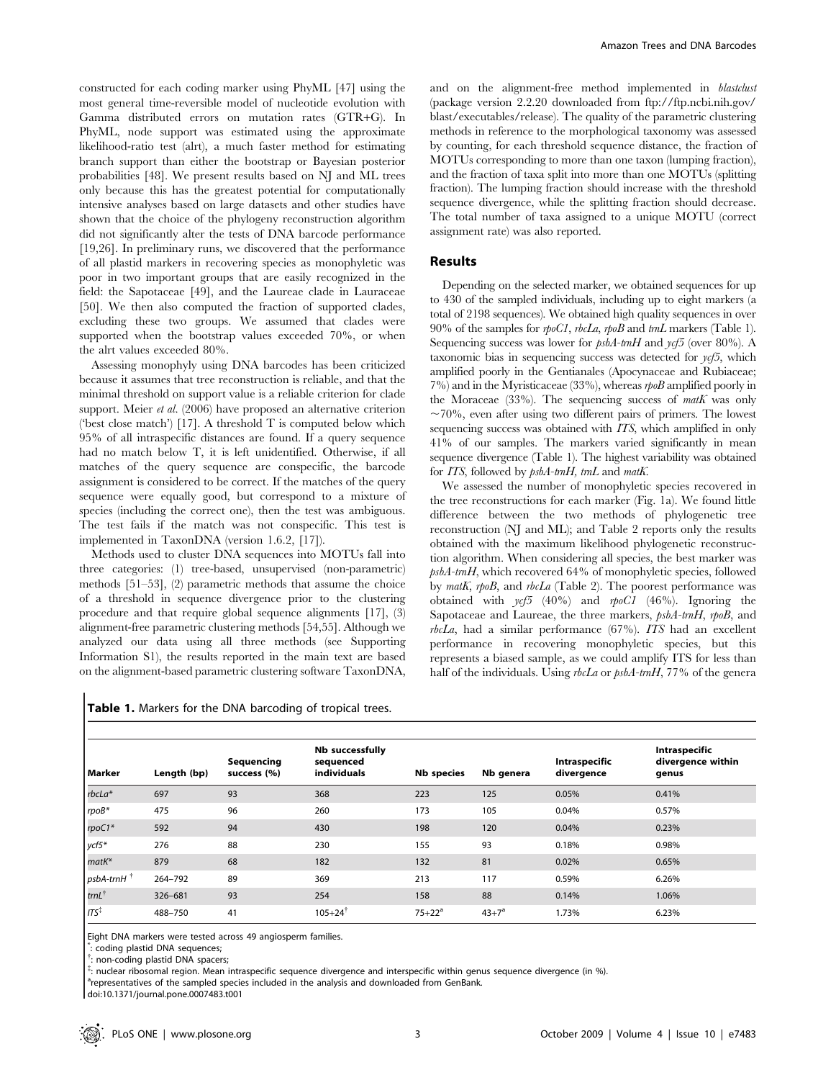constructed for each coding marker using PhyML [47] using the most general time-reversible model of nucleotide evolution with Gamma distributed errors on mutation rates (GTR+G). In PhyML, node support was estimated using the approximate likelihood-ratio test (alrt), a much faster method for estimating branch support than either the bootstrap or Bayesian posterior probabilities [48]. We present results based on NJ and ML trees only because this has the greatest potential for computationally intensive analyses based on large datasets and other studies have shown that the choice of the phylogeny reconstruction algorithm did not significantly alter the tests of DNA barcode performance [19,26]. In preliminary runs, we discovered that the performance of all plastid markers in recovering species as monophyletic was poor in two important groups that are easily recognized in the field: the Sapotaceae [49], and the Laureae clade in Lauraceae [50]. We then also computed the fraction of supported clades, excluding these two groups. We assumed that clades were supported when the bootstrap values exceeded 70%, or when the alrt values exceeded 80%.

Assessing monophyly using DNA barcodes has been criticized because it assumes that tree reconstruction is reliable, and that the minimal threshold on support value is a reliable criterion for clade support. Meier et al. (2006) have proposed an alternative criterion ('best close match') [17]. A threshold T is computed below which 95% of all intraspecific distances are found. If a query sequence had no match below T, it is left unidentified. Otherwise, if all matches of the query sequence are conspecific, the barcode assignment is considered to be correct. If the matches of the query sequence were equally good, but correspond to a mixture of species (including the correct one), then the test was ambiguous. The test fails if the match was not conspecific. This test is implemented in TaxonDNA (version 1.6.2, [17]).

Methods used to cluster DNA sequences into MOTUs fall into three categories: (1) tree-based, unsupervised (non-parametric) methods [51–53], (2) parametric methods that assume the choice of a threshold in sequence divergence prior to the clustering procedure and that require global sequence alignments [17], (3) alignment-free parametric clustering methods [54,55]. Although we analyzed our data using all three methods (see Supporting Information S1), the results reported in the main text are based on the alignment-based parametric clustering software TaxonDNA,

and on the alignment-free method implemented in *blastclust* (package version 2.2.20 downloaded from ftp://ftp.ncbi.nih.gov/ blast/executables/release). The quality of the parametric clustering methods in reference to the morphological taxonomy was assessed by counting, for each threshold sequence distance, the fraction of MOTUs corresponding to more than one taxon (lumping fraction), and the fraction of taxa split into more than one MOTUs (splitting fraction). The lumping fraction should increase with the threshold sequence divergence, while the splitting fraction should decrease. The total number of taxa assigned to a unique MOTU (correct assignment rate) was also reported.

#### Results

Depending on the selected marker, we obtained sequences for up to 430 of the sampled individuals, including up to eight markers (a total of 2198 sequences). We obtained high quality sequences in over 90% of the samples for *rpoC1*, *rbcLa*, *rpoB* and *trnL* markers (Table 1). Sequencing success was lower for  $psbA-tmH$  and  $ycf5$  (over 80%). A taxonomic bias in sequencing success was detected for  $\nu\epsilon/5$ , which amplified poorly in the Gentianales (Apocynaceae and Rubiaceae;  $7\%$ ) and in the Myristicaceae (33%), whereas  $r \omega B$  amplified poorly in the Moraceae (33%). The sequencing success of  $m \in K$  was only  $\sim$ 70%, even after using two different pairs of primers. The lowest sequencing success was obtained with ITS, which amplified in only 41% of our samples. The markers varied significantly in mean sequence divergence (Table 1). The highest variability was obtained for *ITS*, followed by  $psbA-trnH$ ,  $trnL$  and matK.

We assessed the number of monophyletic species recovered in the tree reconstructions for each marker (Fig. 1a). We found little difference between the two methods of phylogenetic tree reconstruction (NJ and ML); and Table 2 reports only the results obtained with the maximum likelihood phylogenetic reconstruction algorithm. When considering all species, the best marker was psbA-trnH, which recovered 64% of monophyletic species, followed by matK, rpoB, and rbcLa (Table 2). The poorest performance was obtained with  $\gamma c f$  (40%) and  $\eta \rho c f$  (46%). Ignoring the Sapotaceae and Laureae, the three markers,  $psbA-trnH$ , rpoB, and  $rbcLa$ , had a similar performance (67%). ITS had an excellent performance in recovering monophyletic species, but this represents a biased sample, as we could amplify ITS for less than half of the individuals. Using *rbcLa* or *psbA-trnH*, 77% of the genera

| Marker                   | Length (bp) | Sequencing<br>success (%) | Nb successfully<br>sequenced<br>individuals | <b>Nb</b> species | Nb genera  | Intraspecific<br>divergence | Intraspecific<br>divergence within<br>genus |
|--------------------------|-------------|---------------------------|---------------------------------------------|-------------------|------------|-----------------------------|---------------------------------------------|
| $rbcla*$                 | 697         | 93                        | 368                                         | 223               | 125        | 0.05%                       | 0.41%                                       |
| $rpoB*$                  | 475         | 96                        | 260                                         | 173               | 105        | 0.04%                       | 0.57%                                       |
| rpoC1*                   | 592         | 94                        | 430                                         | 198               | 120        | 0.04%                       | 0.23%                                       |
| ycf5*                    | 276         | 88                        | 230                                         | 155               | 93         | 0.18%                       | 0.98%                                       |
| matK*                    | 879         | 68                        | 182                                         | 132               | 81         | 0.02%                       | 0.65%                                       |
| $psbA-trnH$ <sup>†</sup> | 264-792     | 89                        | 369                                         | 213               | 117        | 0.59%                       | 6.26%                                       |
| $trnL^{\dagger}$         | 326-681     | 93                        | 254                                         | 158               | 88         | 0.14%                       | 1.06%                                       |
| $ITS^{\ddagger}$         | 488-750     | 41                        | $105 + 24^{\dagger}$                        | $75 + 22^a$       | $43 + 7^a$ | 1.73%                       | 6.23%                                       |

Table 1. Markers for the DNA barcoding of tropical trees.

Eight DNA markers were tested across 49 angiosperm families.

\* : coding plastid DNA sequences;

{ : non-coding plastid DNA spacers;

 $\overline{\dot{z}}$ : nuclear ribosomal region. Mean intraspecific sequence divergence and interspecific within genus sequence divergence (in %).

<sup>a</sup>representatives of the sampled species included in the analysis and downloaded from GenBank.

doi:10.1371/journal.pone.0007483.t001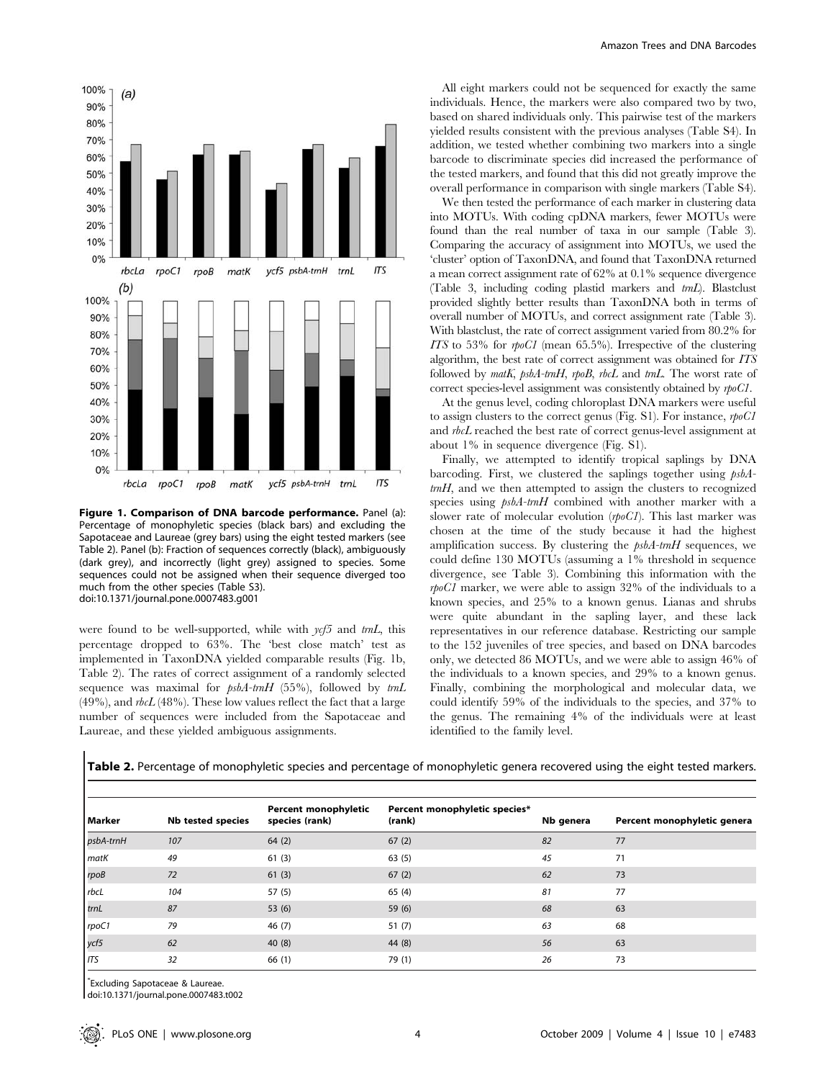

Figure 1. Comparison of DNA barcode performance. Panel (a): Percentage of monophyletic species (black bars) and excluding the Sapotaceae and Laureae (grey bars) using the eight tested markers (see Table 2). Panel (b): Fraction of sequences correctly (black), ambiguously (dark grey), and incorrectly (light grey) assigned to species. Some sequences could not be assigned when their sequence diverged too much from the other species (Table S3). doi:10.1371/journal.pone.0007483.g001

were found to be well-supported, while with  $\nu c f_2$  and  $tmL$ , this percentage dropped to 63%. The 'best close match' test as implemented in TaxonDNA yielded comparable results (Fig. 1b, Table 2). The rates of correct assignment of a randomly selected sequence was maximal for  $psbA-tmH$  (55%), followed by  $tmL$  $(49\%)$ , and  $rbcL(48\%)$ . These low values reflect the fact that a large number of sequences were included from the Sapotaceae and Laureae, and these yielded ambiguous assignments.

All eight markers could not be sequenced for exactly the same individuals. Hence, the markers were also compared two by two, based on shared individuals only. This pairwise test of the markers yielded results consistent with the previous analyses (Table S4). In addition, we tested whether combining two markers into a single barcode to discriminate species did increased the performance of the tested markers, and found that this did not greatly improve the overall performance in comparison with single markers (Table S4).

We then tested the performance of each marker in clustering data into MOTUs. With coding cpDNA markers, fewer MOTUs were found than the real number of taxa in our sample (Table 3). Comparing the accuracy of assignment into MOTUs, we used the 'cluster' option of TaxonDNA, and found that TaxonDNA returned a mean correct assignment rate of 62% at 0.1% sequence divergence (Table 3, including coding plastid markers and trnL). Blastclust provided slightly better results than TaxonDNA both in terms of overall number of MOTUs, and correct assignment rate (Table 3). With blastclust, the rate of correct assignment varied from 80.2% for ITS to 53% for rpoC1 (mean 65.5%). Irrespective of the clustering algorithm, the best rate of correct assignment was obtained for ITS followed by matK, psbA-tmH, rpoB, rbcL and tmL. The worst rate of correct species-level assignment was consistently obtained by rpoCl.

At the genus level, coding chloroplast DNA markers were useful to assign clusters to the correct genus (Fig. S1). For instance, rpoC1 and rbcL reached the best rate of correct genus-level assignment at about 1% in sequence divergence (Fig. S1).

Finally, we attempted to identify tropical saplings by DNA barcoding. First, we clustered the saplings together using psbA $tmH$ , and we then attempted to assign the clusters to recognized species using  $psbA$ -trnH combined with another marker with a slower rate of molecular evolution  $(p \rho C I)$ . This last marker was chosen at the time of the study because it had the highest amplification success. By clustering the  $psbA$ -trnH sequences, we could define 130 MOTUs (assuming a 1% threshold in sequence divergence, see Table 3). Combining this information with the rpoC1 marker, we were able to assign 32% of the individuals to a known species, and 25% to a known genus. Lianas and shrubs were quite abundant in the sapling layer, and these lack representatives in our reference database. Restricting our sample to the 152 juveniles of tree species, and based on DNA barcodes only, we detected 86 MOTUs, and we were able to assign 46% of the individuals to a known species, and 29% to a known genus. Finally, combining the morphological and molecular data, we could identify 59% of the individuals to the species, and 37% to the genus. The remaining 4% of the individuals were at least identified to the family level.

Table 2. Percentage of monophyletic species and percentage of monophyletic genera recovered using the eight tested markers.

| Marker      | Nb tested species | Percent monophyletic<br>species (rank) | Percent monophyletic species*<br>(rank) | Nb genera | Percent monophyletic genera |
|-------------|-------------------|----------------------------------------|-----------------------------------------|-----------|-----------------------------|
| psbA-trnH   | 107               | 64(2)                                  | 67(2)                                   | 82        | 77                          |
| <b>matK</b> | 49                | 61(3)                                  | 63(5)                                   | 45        | 71                          |
| rpoB        | 72                | 61(3)                                  | 67(2)                                   | 62        | 73                          |
| rbcL        | 104               | 57(5)                                  | 65(4)                                   | 81        | 77                          |
| trnL        | 87                | 53(6)                                  | 59(6)                                   | 68        | 63                          |
| rpoC1       | 79                | 46(7)                                  | 51(7)                                   | 63        | 68                          |
| ycf5        | 62                | 40(8)                                  | 44 (8)                                  | 56        | 63                          |
| <b>ITS</b>  | 32                | 66(1)                                  | 79 (1)                                  | 26        | 73                          |
|             |                   |                                        |                                         |           |                             |

\* Excluding Sapotaceae & Laureae.

doi:10.1371/journal.pone.0007483.t002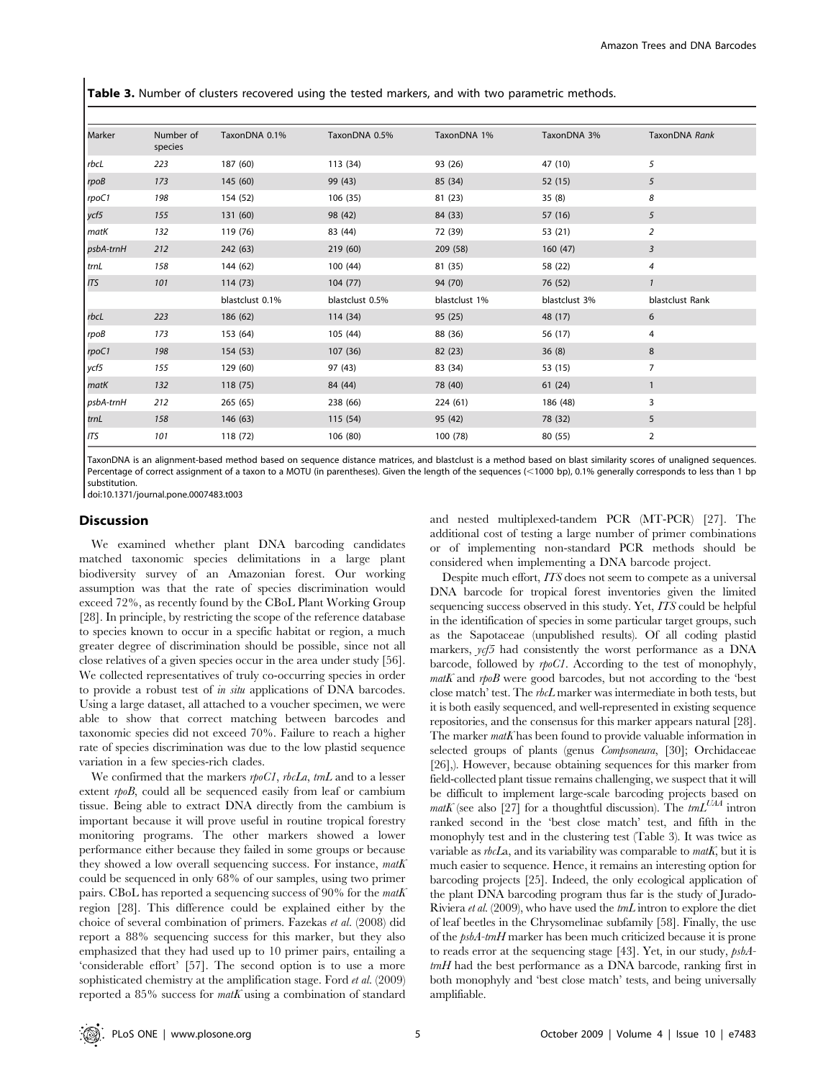Table 3. Number of clusters recovered using the tested markers, and with two parametric methods.

| Marker      | Number of<br>species | TaxonDNA 0.1%   | TaxonDNA 0.5%   | TaxonDNA 1%   | TaxonDNA 3%   | TaxonDNA Rank   |
|-------------|----------------------|-----------------|-----------------|---------------|---------------|-----------------|
| rbcL        | 223                  | 187 (60)        | 113 (34)        | 93 (26)       | 47 (10)       | 5               |
| rpoB        | 173                  | 145 (60)        | 99 (43)         | 85 (34)       | 52 (15)       | 5               |
| rpoC1       | 198                  | 154 (52)        | 106 (35)        | 81 (23)       | 35(8)         | 8               |
| ycf5        | 155                  | 131 (60)        | 98 (42)         | 84 (33)       | 57 (16)       | 5               |
| <b>matK</b> | 132                  | 119 (76)        | 83 (44)         | 72 (39)       | 53 (21)       | $\overline{2}$  |
| psbA-trnH   | 212                  | 242 (63)        | 219 (60)        | 209 (58)      | 160(47)       | 3               |
| trnL        | 158                  | 144 (62)        | 100(44)         | 81 (35)       | 58 (22)       | 4               |
| <b>ITS</b>  | 101                  | 114(73)         | 104(77)         | 94 (70)       | 76 (52)       | $\mathbf{1}$    |
|             |                      | blastclust 0.1% | blastclust 0.5% | blastclust 1% | blastclust 3% | blastclust Rank |
| rbcL        | 223                  | 186 (62)        | 114 (34)        | 95 (25)       | 48 (17)       | 6               |
| rpoB        | 173                  | 153 (64)        | 105 (44)        | 88 (36)       | 56 (17)       | 4               |
| rpoC1       | 198                  | 154 (53)        | 107 (36)        | 82 (23)       | 36(8)         | 8               |
| ycf5        | 155                  | 129 (60)        | 97 (43)         | 83 (34)       | 53 (15)       | 7               |
| matK        | 132                  | 118 (75)        | 84 (44)         | 78 (40)       | 61 (24)       | 1               |
| psbA-trnH   | 212                  | 265 (65)        | 238 (66)        | 224 (61)      | 186 (48)      | 3               |
| trnL        | 158                  | 146 (63)        | 115 (54)        | 95 (42)       | 78 (32)       | 5               |
| <b>ITS</b>  | 101                  | 118 (72)        | 106 (80)        | 100 (78)      | 80 (55)       | $\overline{2}$  |

TaxonDNA is an alignment-based method based on sequence distance matrices, and blastclust is a method based on blast similarity scores of unaligned sequences. Percentage of correct assignment of a taxon to a MOTU (in parentheses). Given the length of the sequences (<1000 bp), 0.1% generally corresponds to less than 1 bp substitution.

doi:10.1371/journal.pone.0007483.t003

#### Discussion

We examined whether plant DNA barcoding candidates matched taxonomic species delimitations in a large plant biodiversity survey of an Amazonian forest. Our working assumption was that the rate of species discrimination would exceed 72%, as recently found by the CBoL Plant Working Group [28]. In principle, by restricting the scope of the reference database to species known to occur in a specific habitat or region, a much greater degree of discrimination should be possible, since not all close relatives of a given species occur in the area under study [56]. We collected representatives of truly co-occurring species in order to provide a robust test of in situ applications of DNA barcodes. Using a large dataset, all attached to a voucher specimen, we were able to show that correct matching between barcodes and taxonomic species did not exceed 70%. Failure to reach a higher rate of species discrimination was due to the low plastid sequence variation in a few species-rich clades.

We confirmed that the markers rpoCl, rbcLa, trnL and to a lesser extent rpoB, could all be sequenced easily from leaf or cambium tissue. Being able to extract DNA directly from the cambium is important because it will prove useful in routine tropical forestry monitoring programs. The other markers showed a lower performance either because they failed in some groups or because they showed a low overall sequencing success. For instance, math could be sequenced in only 68% of our samples, using two primer pairs. CBoL has reported a sequencing success of 90% for the matK region [28]. This difference could be explained either by the choice of several combination of primers. Fazekas et al. (2008) did report a 88% sequencing success for this marker, but they also emphasized that they had used up to 10 primer pairs, entailing a 'considerable effort' [57]. The second option is to use a more sophisticated chemistry at the amplification stage. Ford et al. (2009) reported a  $85\%$  success for  $text$  using a combination of standard and nested multiplexed-tandem PCR (MT-PCR) [27]. The additional cost of testing a large number of primer combinations or of implementing non-standard PCR methods should be considered when implementing a DNA barcode project.

Despite much effort, ITS does not seem to compete as a universal DNA barcode for tropical forest inventories given the limited sequencing success observed in this study. Yet, ITS could be helpful in the identification of species in some particular target groups, such as the Sapotaceae (unpublished results). Of all coding plastid markers,  $\gamma c f_2$  had consistently the worst performance as a DNA barcode, followed by rpoC1. According to the test of monophyly,  $m$ atK and  $r$ poB were good barcodes, but not according to the 'best close match' test. The rbcL marker was intermediate in both tests, but it is both easily sequenced, and well-represented in existing sequence repositories, and the consensus for this marker appears natural [28]. The marker  $matK$  has been found to provide valuable information in selected groups of plants (genus Compsoneura, [30]; Orchidaceae [26],). However, because obtaining sequences for this marker from field-collected plant tissue remains challenging, we suspect that it will be difficult to implement large-scale barcoding projects based on matK (see also [27] for a thoughtful discussion). The  $imL^{UAA}$  intron ranked second in the 'best close match' test, and fifth in the monophyly test and in the clustering test (Table 3). It was twice as variable as  $rbcLa$ , and its variability was comparable to math, but it is much easier to sequence. Hence, it remains an interesting option for barcoding projects [25]. Indeed, the only ecological application of the plant DNA barcoding program thus far is the study of Jurado-Riviera et al. (2009), who have used the trnL intron to explore the diet of leaf beetles in the Chrysomelinae subfamily [58]. Finally, the use of the psbA-trnH marker has been much criticized because it is prone to reads error at the sequencing stage [43]. Yet, in our study, psbA $tmH$  had the best performance as a DNA barcode, ranking first in both monophyly and 'best close match' tests, and being universally amplifiable.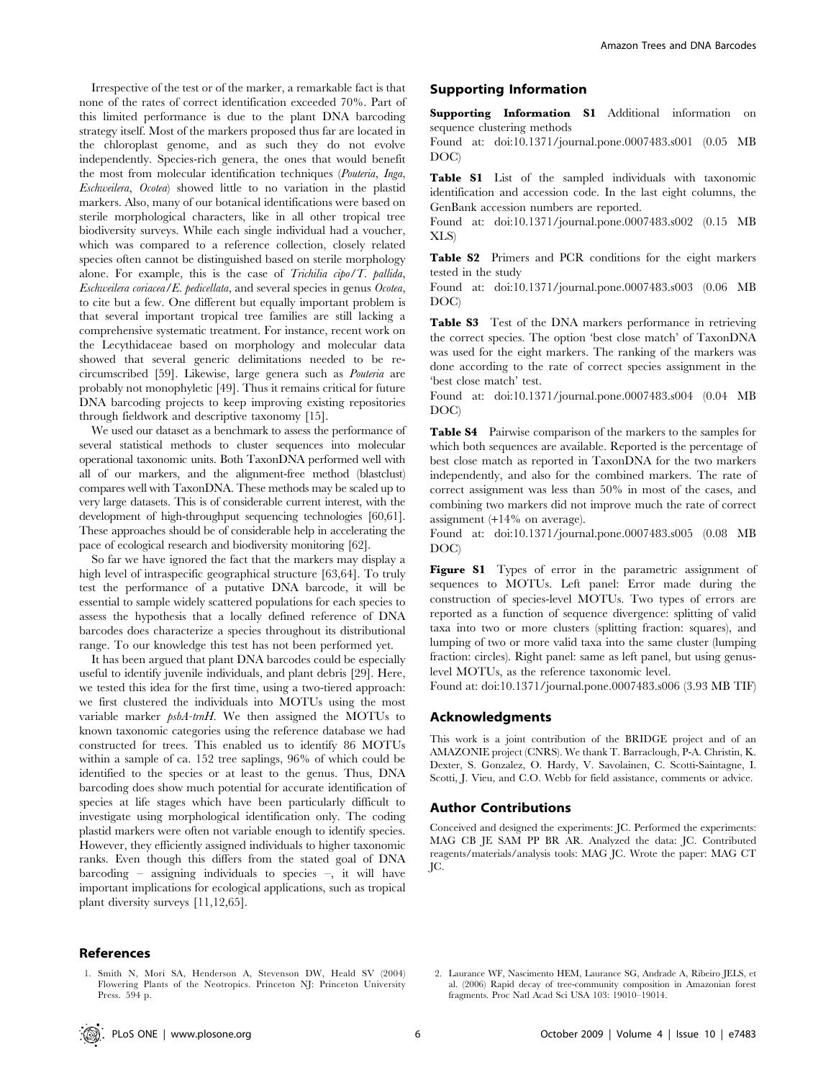Irrespective of the test or of the marker, a remarkable fact is that none of the rates of correct identification exceeded 70%. Part of this limited performance is due to the plant DNA barcoding strategy itself. Most of the markers proposed thus far are located in the chloroplast genome, and as such they do not evolve independently. Species-rich genera, the ones that would benefit the most from molecular identification techniques (Pouteria, Inga, Eschweilera, Ocotea) showed little to no variation in the plastid markers. Also, many of our botanical identifications were based on sterile morphological characters, like in all other tropical tree biodiversity surveys. While each single individual had a voucher, which was compared to a reference collection, closely related species often cannot be distinguished based on sterile morphology alone. For example, this is the case of Trichilia  $cipo/T$ . pallida, Eschweilera coriacea/E. pedicellata, and several species in genus Ocotea, to cite but a few. One different but equally important problem is that several important tropical tree families are still lacking a comprehensive systematic treatment. For instance, recent work on the Lecythidaceae based on morphology and molecular data showed that several generic delimitations needed to be recircumscribed [59]. Likewise, large genera such as Pouteria are probably not monophyletic [49]. Thus it remains critical for future DNA barcoding projects to keep improving existing repositories through fieldwork and descriptive taxonomy [15].

We used our dataset as a benchmark to assess the performance of several statistical methods to cluster sequences into molecular operational taxonomic units. Both TaxonDNA performed well with all of our markers, and the alignment-free method (blastclust) compares well with TaxonDNA. These methods may be scaled up to very large datasets. This is of considerable current interest, with the development of high-throughput sequencing technologies [60,61]. These approaches should be of considerable help in accelerating the pace of ecological research and biodiversity monitoring [62].

So far we have ignored the fact that the markers may display a high level of intraspecific geographical structure [63,64]. To truly test the performance of a putative DNA barcode, it will be essential to sample widely scattered populations for each species to assess the hypothesis that a locally defined reference of DNA barcodes does characterize a species throughout its distributional range. To our knowledge this test has not been performed yet.

It has been argued that plant DNA barcodes could be especially useful to identify juvenile individuals, and plant debris [29]. Here, we tested this idea for the first time, using a two-tiered approach: we first clustered the individuals into MOTUs using the most variable marker psbA-trnH. We then assigned the MOTUs to known taxonomic categories using the reference database we had constructed for trees. This enabled us to identify 86 MOTUs within a sample of ca. 152 tree saplings, 96% of which could be identified to the species or at least to the genus. Thus, DNA barcoding does show much potential for accurate identification of species at life stages which have been particularly difficult to investigate using morphological identification only. The coding plastid markers were often not variable enough to identify species. However, they efficiently assigned individuals to higher taxonomic ranks. Even though this differs from the stated goal of DNA barcoding – assigning individuals to species –, it will have important implications for ecological applications, such as tropical plant diversity surveys [11,12,65].

## Supporting Information

Supporting Information S1 Additional information on sequence clustering methods

Found at: doi:10.1371/journal.pone.0007483.s001 (0.05 MB DOC)

Table S1 List of the sampled individuals with taxonomic identification and accession code. In the last eight columns, the GenBank accession numbers are reported.

Found at: doi:10.1371/journal.pone.0007483.s002 (0.15 MB XLS)

Table S2 Primers and PCR conditions for the eight markers tested in the study

Found at: doi:10.1371/journal.pone.0007483.s003 (0.06 MB DOC)

Table S3 Test of the DNA markers performance in retrieving the correct species. The option 'best close match' of TaxonDNA was used for the eight markers. The ranking of the markers was done according to the rate of correct species assignment in the 'best close match' test.

Found at: doi:10.1371/journal.pone.0007483.s004 (0.04 MB DOC)

Table S4 Pairwise comparison of the markers to the samples for which both sequences are available. Reported is the percentage of best close match as reported in TaxonDNA for the two markers independently, and also for the combined markers. The rate of correct assignment was less than 50% in most of the cases, and combining two markers did not improve much the rate of correct assignment (+14% on average).

Found at: doi:10.1371/journal.pone.0007483.s005 (0.08 MB DOC)

Figure S1 Types of error in the parametric assignment of sequences to MOTUs. Left panel: Error made during the construction of species-level MOTUs. Two types of errors are reported as a function of sequence divergence: splitting of valid taxa into two or more clusters (splitting fraction: squares), and lumping of two or more valid taxa into the same cluster (lumping fraction: circles). Right panel: same as left panel, but using genuslevel MOTUs, as the reference taxonomic level.

Found at: doi:10.1371/journal.pone.0007483.s006 (3.93 MB TIF)

#### Acknowledgments

This work is a joint contribution of the BRIDGE project and of an AMAZONIE project (CNRS). We thank T. Barraclough, P-A. Christin, K. Dexter, S. Gonzalez, O. Hardy, V. Savolainen, C. Scotti-Saintagne, I. Scotti, J. Vieu, and C.O. Webb for field assistance, comments or advice.

#### Author Contributions

Conceived and designed the experiments: JC. Performed the experiments: MAG CB JE SAM PP BR AR. Analyzed the data: JC. Contributed reagents/materials/analysis tools: MAG JC. Wrote the paper: MAG CT JC.

1. Smith N, Mori SA, Henderson A, Stevenson DW, Heald SV (2004) Flowering Plants of the Neotropics. Princeton NJ: Princeton University Press. 594 p.

<sup>2.</sup> Laurance WF, Nascimento HEM, Laurance SG, Andrade A, Ribeiro JELS, et al. (2006) Rapid decay of tree-community composition in Amazonian forest fragments. Proc Natl Acad Sci USA 103: 19010–19014.